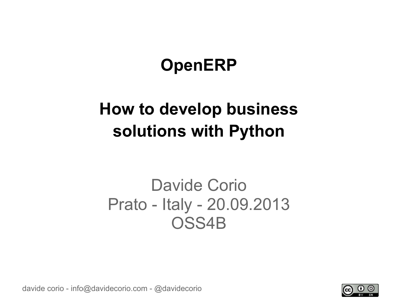# **OpenERP**

# **How to develop business solutions with Python**

### Davide Corio Prato - Italy - 20.09.2013 OSS4B

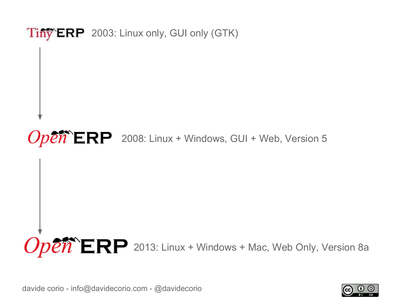

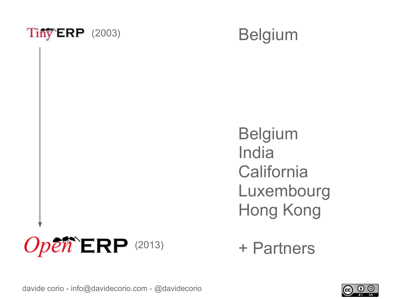



Belgium India **California** Luxembourg Hong Kong



+ Partners

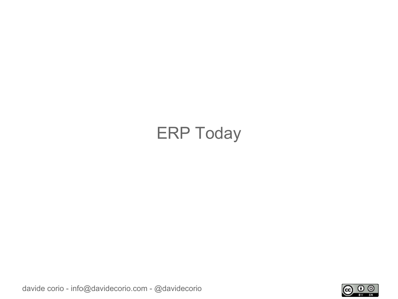## ERP Today

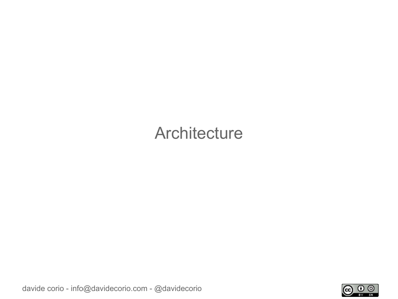#### **Architecture**

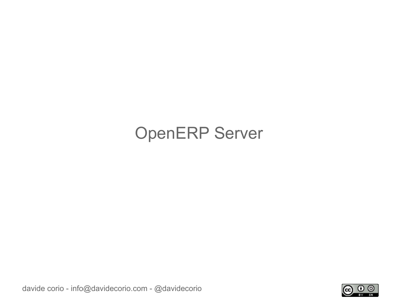## OpenERP Server

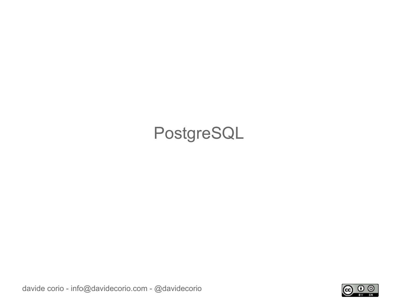## PostgreSQL

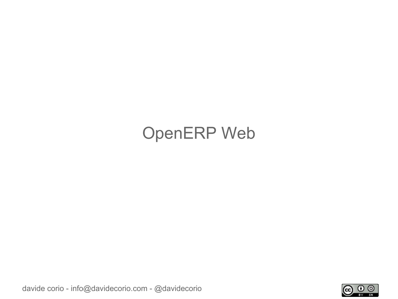## OpenERP Web

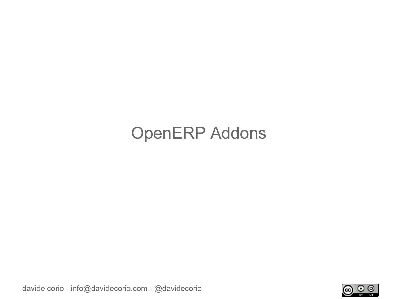### OpenERP Addons

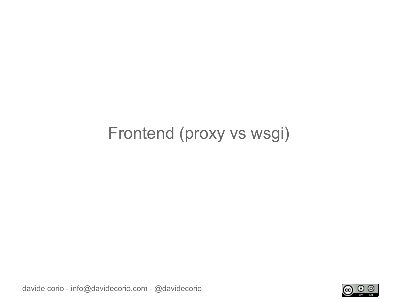#### Frontend (proxy vs wsgi)

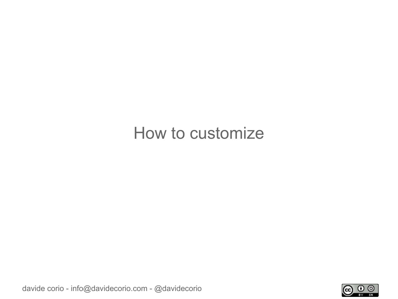#### How to customize

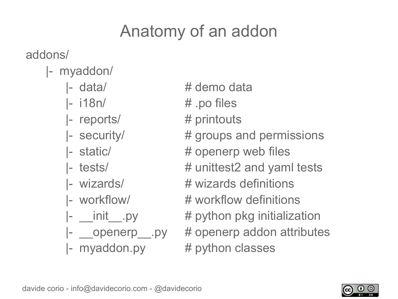# Anatomy of an addon

addons/

- |- myaddon/
	-
	-
	-
	-
	-
	-
	-
	-
	-
	-
	-
- |- data/ # demo data
- |- i18n/ # .po files
- |- reports/ # printouts
- |- security/ # groups and permissions
- |- static/  $\#$  openerp web files
- $\left| \cdot \right|$  tests/  $\left| \cdot \right|$  tests  $\left| \cdot \right|$  and yaml tests
- |- wizards/ # wizards definitions
- |- workflow/ # workflow definitions
- $\vert$  \_\_init\_\_\_.py  $\qquad$  # python pkg initialization
- |- \_\_openerp\_\_.py # openerp addon attributes  $\left| \cdot \right|$  myaddon.py  $\left| \cdot \right|$  # python classes

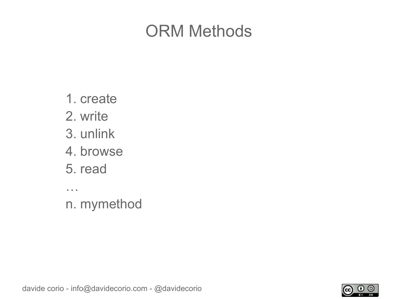#### ORM Methods

- 1. create
- 2. write
- 3. unlink
- 4. browse
- 5. read

…

n. mymethod

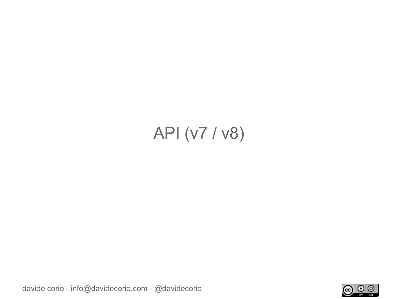# API (v7 / v8)

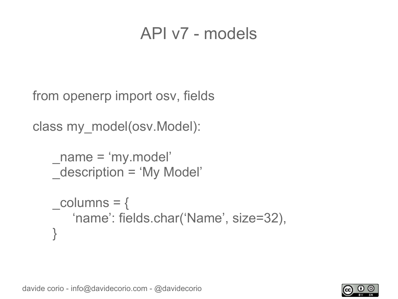#### API v7 - models

from openerp import osv, fields

```
class my_model(osv.Model):
```

```
_name = 'my.model'
description = 'My Model'
```

```
\text{columns} = \{'name': fields.char('Name', size=32),
}
```
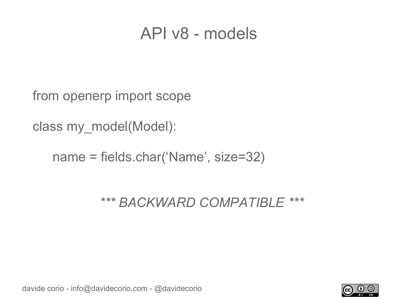#### API v8 - models

from openerp import scope

class my\_model(Model):

name = fields.char('Name', size=32)

*\*\*\* BACKWARD COMPATIBLE \*\*\**

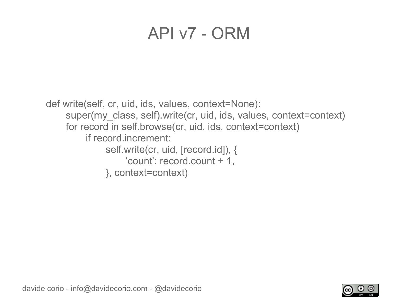#### API v7 - ORM

def write(self, cr, uid, ids, values, context=None): super(my\_class, self).write(cr, uid, ids, values, context=context) for record in self.browse(cr, uid, ids, context=context) if record.increment: self.write(cr, uid, [record.id]), { 'count': record.count + 1, }, context=context)

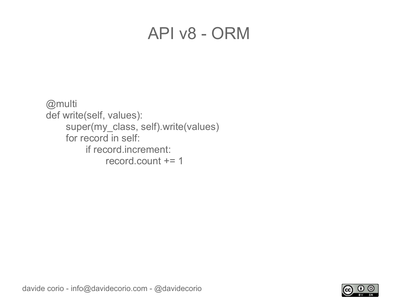#### API v8 - ORM

@multi def write(self, values): super(my\_class, self).write(values) for record in self: if record.increment: record.count += 1

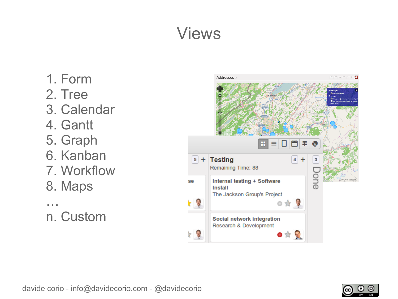# Views

- 1. Form
- 2. Tree
- 3. Calendar
- 4. Gantt
- 5. Graph
- 6. Kanban
- 7. Workflow
- 8. Maps
- … n. Custom



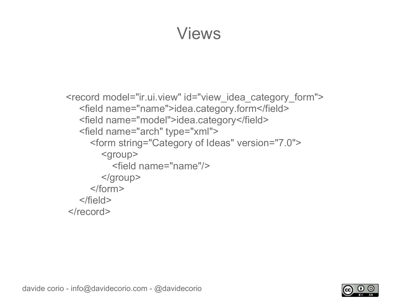#### Views

```
<record model="ir.ui.view" id="view_idea_category_form">
    <field name="name">idea.category.form</field>
    <field name="model">idea.category</field>
    <field name="arch" type="xml">
      <form string="Category of Ideas" version="7.0">
         <group>
           <field name="name"/>
        </group>
      </form>
   </field>
</record>
```
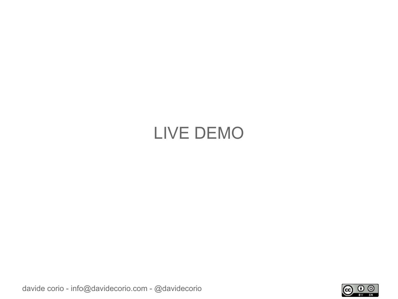## LIVE DEMO

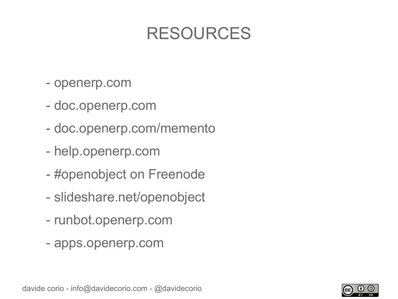### RESOURCES

- openerp.com
- doc.openerp.com
- doc.openerp.com/memento
- help.openerp.com
- #openobject on Freenode
- slideshare.net/openobject
- runbot.openerp.com
- apps.openerp.com

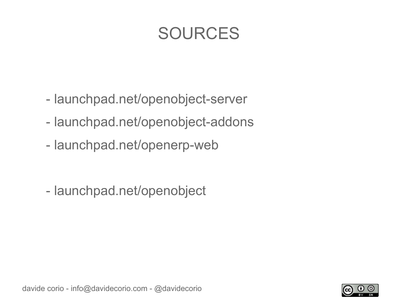### SOURCES

- launchpad.net/openobject-server
- launchpad.net/openobject-addons
- launchpad.net/openerp-web
- launchpad.net/openobject

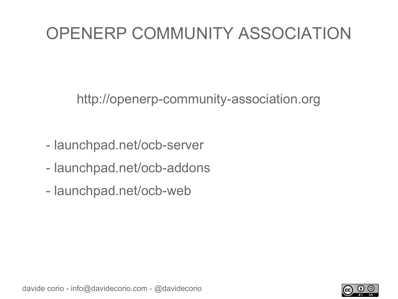# OPENERP COMMUNITY ASSOCIATION

http://openerp-community-association.org

- launchpad.net/ocb-server
- launchpad.net/ocb-addons
- launchpad.net/ocb-web

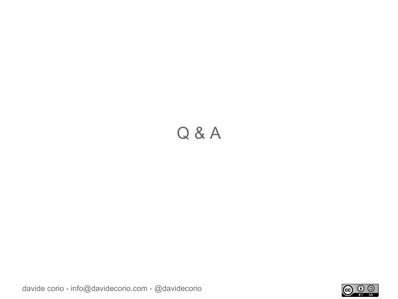#### Q & A